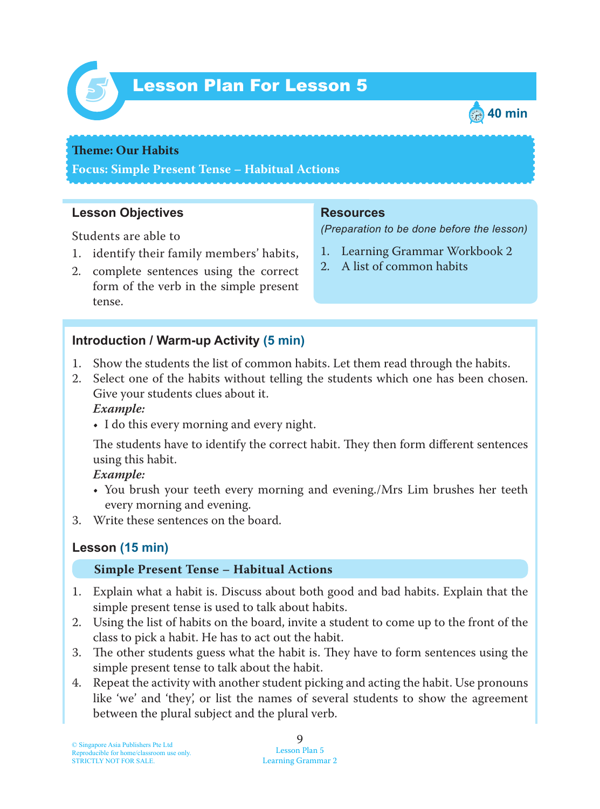

# Lesson Plan For Lesson 5 *5*



### **Theme: Our Habits**

**Focus: Simple Present Tense – Habitual Actions**

### **Lesson Objectives**

Students are able to

- 1. identify their family members' habits,
- 2. complete sentences using the correct form of the verb in the simple present tense.

#### **Introduction / Warm-up Activity (5 min)**

- 1. Show the students the list of common habits. Let them read through the habits.
- 2. Select one of the habits without telling the students which one has been chosen. Give your students clues about it.

#### *Example:*

• I do this every morning and every night.

The students have to identify the correct habit. They then form different sentences using this habit.

#### *Example:*

- You brush your teeth every morning and evening./Mrs Lim brushes her teeth every morning and evening.
- 3. Write these sentences on the board.

# **Lesson (15 min)**

#### **Simple Present Tense – Habitual Actions**

- 1. Explain what a habit is. Discuss about both good and bad habits. Explain that the simple present tense is used to talk about habits.
- 2. Using the list of habits on the board, invite a student to come up to the front of the class to pick a habit. He has to act out the habit.
- 3. The other students guess what the habit is. They have to form sentences using the simple present tense to talk about the habit.
- 4. Repeat the activity with another student picking and acting the habit. Use pronouns like 'we' and 'they', or list the names of several students to show the agreement between the plural subject and the plural verb.

### **Resources**

*(Preparation to be done before the lesson)*

- 1. Learning Grammar Workbook 2
- 2. A list of common habits